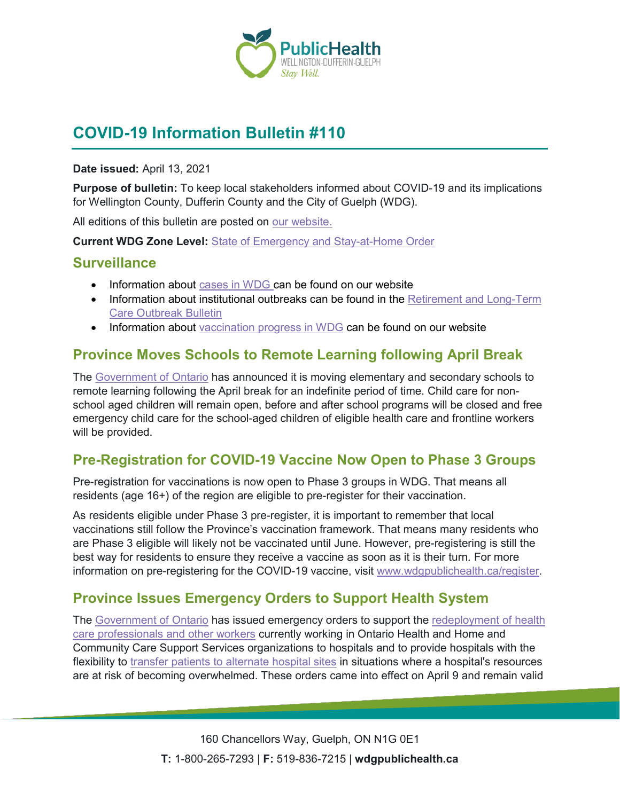

# **COVID-19 Information Bulletin #110**

#### **Date issued:** April 13, 2021

**Purpose of bulletin:** To keep local stakeholders informed about COVID-19 and its implications for Wellington County, Dufferin County and the City of Guelph (WDG).

All editions of this bulletin are posted on [our website.](https://www.wdgpublichealth.ca/your-health/covid-19-information-workplaces-and-living-spaces/community-stakeholder-bulletins)

**Current WDG Zone Level:** [State of Emergency and Stay-at-Home Order](https://www.ontario.ca/page/covid-19-provincewide-shutdown)

#### **Surveillance**

- Information about [cases in WDG](https://wdgpublichealth.ca/your-health/covid-19-information-public/status-cases-wdg) can be found on our website
- Information about institutional outbreaks can be found in the Retirement and Long-Term [Care Outbreak Bulletin](https://wdgpublichealth.ca/node/1542)
- Information about [vaccination progress](https://www.wdgpublichealth.ca/your-health/covid-19-information-public/covid-19-vaccine-information-public) in WDG can be found on our website

### **Province Moves Schools to Remote Learning following April Break**

The [Government of Ontario](https://news.ontario.ca/en/release/61106/ontario-moves-schools-to-remote-learning-following-spring-break) has announced it is moving elementary and secondary schools to remote learning following the April break for an indefinite period of time. Child care for nonschool aged children will remain open, before and after school programs will be closed and free emergency child care for the school-aged children of eligible health care and frontline workers will be provided.

# **Pre-Registration for COVID-19 Vaccine Now Open to Phase 3 Groups**

Pre-registration for vaccinations is now open to Phase 3 groups in WDG. That means all residents (age 16+) of the region are eligible to pre-register for their vaccination.

As residents eligible under Phase 3 pre-register, it is important to remember that local vaccinations still follow the Province's vaccination framework. That means many residents who are Phase 3 eligible will likely not be vaccinated until June. However, pre-registering is still the best way for residents to ensure they receive a vaccine as soon as it is their turn. For more information on pre-registering for the COVID-19 vaccine, visit [www.wdgpublichealth.ca/register.](http://www.wdgpublichealth.ca/register)

### **Province Issues Emergency Orders to Support Health System**

The [Government of Ontario](https://news.ontario.ca/en/release/61094/ontario-supporting-health-system-response-during-third-wave-of-covid-19) has issued emergency orders to support the [redeployment of health](https://files.ontario.ca/solgen_oreg271-21_2021-04-09.pdf)  [care professionals and other workers](https://files.ontario.ca/solgen_oreg271-21_2021-04-09.pdf) currently working in Ontario Health and Home and Community Care Support Services organizations to hospitals and to provide hospitals with the flexibility to [transfer patients to alternate hospital sites](https://files.ontario.ca/solgen_oreg272-21_2021-04-09.pdf) in situations where a hospital's resources are at risk of becoming overwhelmed. These orders came into effect on April 9 and remain valid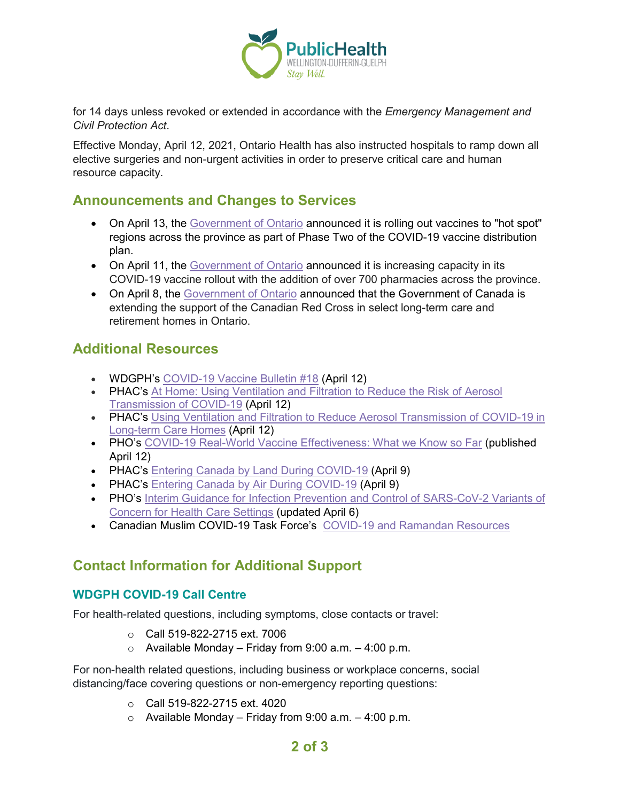

for 14 days unless revoked or extended in accordance with the *Emergency Management and Civil Protection Act*.

Effective Monday, April 12, 2021, Ontario Health has also instructed hospitals to ramp down all elective surgeries and non-urgent activities in order to preserve critical care and human resource capacity.

#### **Announcements and Changes to Services**

- On April 13, the [Government of Ontario](https://news.ontario.ca/en/release/61124/ontarios-covid-19-vaccination-strategy-targets-high-risk-neighbourhoods) announced it is rolling out vaccines to "hot spot" regions across the province as part of Phase Two of the COVID-19 vaccine distribution plan.
- On April 11, the [Government of Ontario](https://news.ontario.ca/en/release/61096/ontario-expands-covid-19-vaccination-locations-to-more-pharmacies) announced it is increasing capacity in its COVID-19 vaccine rollout with the addition of over 700 pharmacies across the province.
- On April 8, the [Government of Ontario](https://news.ontario.ca/en/release/61065/federal-government-extends-support-for-long-term-care-and-retirement-homes-in-ontario) announced that the Government of Canada is extending the support of the Canadian Red Cross in select long-term care and retirement homes in Ontario.

### **Additional Resources**

- WDGPH's [COVID-19 Vaccine Bulletin #18](https://www.wdgpublichealth.ca/sites/default/files/wdgph_covid-19_vaccine_bulletin_18_april_12_2021.pdf) (April 12)
- PHAC's At Home: Using Ventilation and Filtration to Reduce the Risk of Aerosol [Transmission of COVID-19](https://www.canada.ca/en/public-health/services/diseases/2019-novel-coronavirus-infection/guidance-documents/guide-home-ventilation-covid-19-pandemic.html) (April 12)
- PHAC's [Using Ventilation and Filtration to Reduce Aerosol Transmission of COVID-19 in](https://www.canada.ca/en/public-health/services/diseases/2019-novel-coronavirus-infection/guidance-documents/guide-ltch-ventilation-covid-19-pandemic.html) [Long-term Care Homes](https://www.canada.ca/en/public-health/services/diseases/2019-novel-coronavirus-infection/guidance-documents/guide-ltch-ventilation-covid-19-pandemic.html) (April 12)
- PHO's [COVID-19 Real-World Vaccine Effectiveness: What we Know so Far](https://www.publichealthontario.ca/-/media/documents/ncov/covid-wwksf/2021/04/wwksf-vaccine-effectiveness.pdf?la=en) (published April 12)
- PHAC's Entering Canada by [Land During COVID-19](https://www.canada.ca/en/public-health/services/diseases/2019-novel-coronavirus-infection/awareness-resources/entering-canada-covid-19-land.html) (April 9)
- PHAC's [Entering Canada by Air During COVID-19](https://www.canada.ca/en/public-health/services/diseases/2019-novel-coronavirus-infection/awareness-resources/entering-canada-covid-19.html) (April 9)
- PHO's Interim Guidance for Infection Prevention and Control of SARS-CoV-2 Variants of [Concern for Health Care Settings](https://www.publichealthontario.ca/-/media/documents/ncov/voc/2021/02/pidac-interim-guidance-sars-cov-2-variants.pdf?la=en) (updated April 6)
- Canadian Muslim COVID-19 Task Force's [COVID-19 and Ramandan](https://www.cmcovidtf.com/infographics) Resources

# **Contact Information for Additional Support**

#### **WDGPH COVID-19 Call Centre**

For health-related questions, including symptoms, close contacts or travel:

- o Call 519-822-2715 ext. 7006
- $\circ$  Available Monday Friday from 9:00 a.m. 4:00 p.m.

For non-health related questions, including business or workplace concerns, social distancing/face covering questions or non-emergency reporting questions:

- $O_{\odot}$  Call 519-822-2715 ext. 4020
- $\circ$  Available Monday Friday from 9:00 a.m. 4:00 p.m.

### **2 of 3**